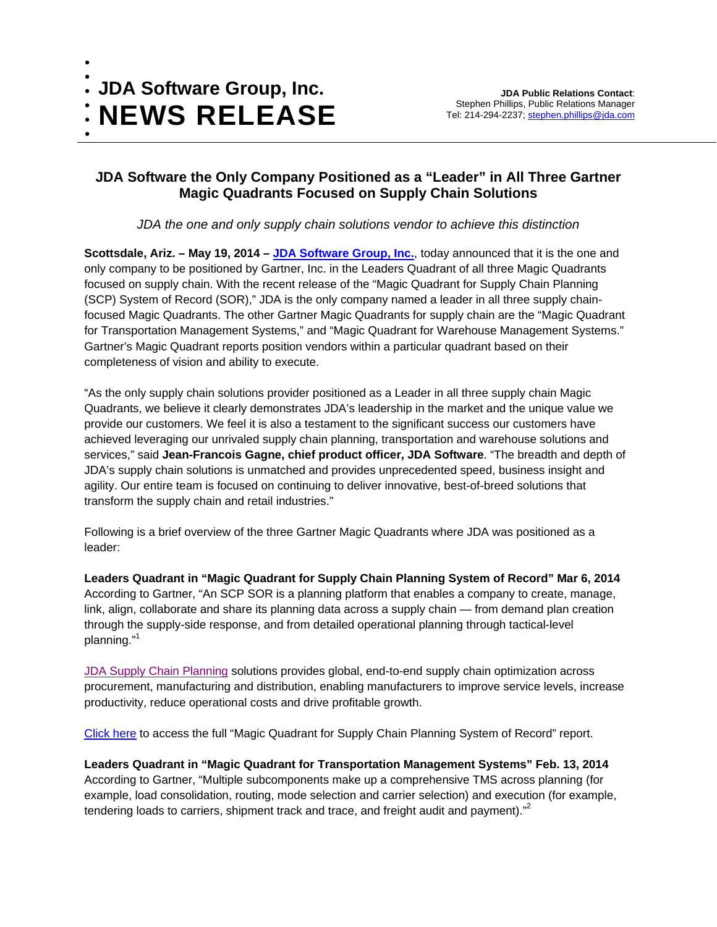$\bullet$ 

# **JDA Software the Only Company Positioned as a "Leader" in All Three Gartner Magic Quadrants Focused on Supply Chain Solutions**

*JDA the one and only supply chain solutions vendor to achieve this distinction* 

**Scottsdale, Ariz. – May 19, 2014 – [JDA Software Group, Inc.](http://www.jda.com/)**, today announced that it is the one and only company to be positioned by Gartner, Inc. in the Leaders Quadrant of all three Magic Quadrants focused on supply chain. With the recent release of the "Magic Quadrant for Supply Chain Planning (SCP) System of Record (SOR)," JDA is the only company named a leader in all three supply chainfocused Magic Quadrants. The other Gartner Magic Quadrants for supply chain are the "Magic Quadrant for Transportation Management Systems," and "Magic Quadrant for Warehouse Management Systems." Gartner's Magic Quadrant reports position vendors within a particular quadrant based on their completeness of vision and ability to execute.

"As the only supply chain solutions provider positioned as a Leader in all three supply chain Magic Quadrants, we believe it clearly demonstrates JDA's leadership in the market and the unique value we provide our customers. We feel it is also a testament to the significant success our customers have achieved leveraging our unrivaled supply chain planning, transportation and warehouse solutions and services," said **Jean-Francois Gagne, chief product officer, JDA Software**. "The breadth and depth of JDA's supply chain solutions is unmatched and provides unprecedented speed, business insight and agility. Our entire team is focused on continuing to deliver innovative, best-of-breed solutions that transform the supply chain and retail industries."

Following is a brief overview of the three Gartner Magic Quadrants where JDA was positioned as a leader:

**Leaders Quadrant in "Magic Quadrant for Supply Chain Planning System of Record" Mar 6, 2014**  According to Gartner, "An SCP SOR is a planning platform that enables a company to create, manage, link, align, collaborate and share its planning data across a supply chain — from demand plan creation through the supply-side response, and from detailed operational planning through tactical-level planning."<sup>1</sup>

[JDA Supply Chain Planning](http://www.jda.com/solutions/supply-chain-planning/) solutions provides global, end-to-end supply chain optimization across procurement, manufacturing and distribution, enabling manufacturers to improve service levels, increase productivity, reduce operational costs and drive profitable growth.

[Click here](http://jda.com/mq3) to access the full "Magic Quadrant for Supply Chain Planning System of Record" report.

**Leaders Quadrant in "Magic Quadrant for Transportation Management Systems" Feb. 13, 2014**  According to Gartner, "Multiple subcomponents make up a comprehensive TMS across planning (for example, load consolidation, routing, mode selection and carrier selection) and execution (for example, tendering loads to carriers, shipment track and trace, and freight audit and payment)."<sup>2</sup>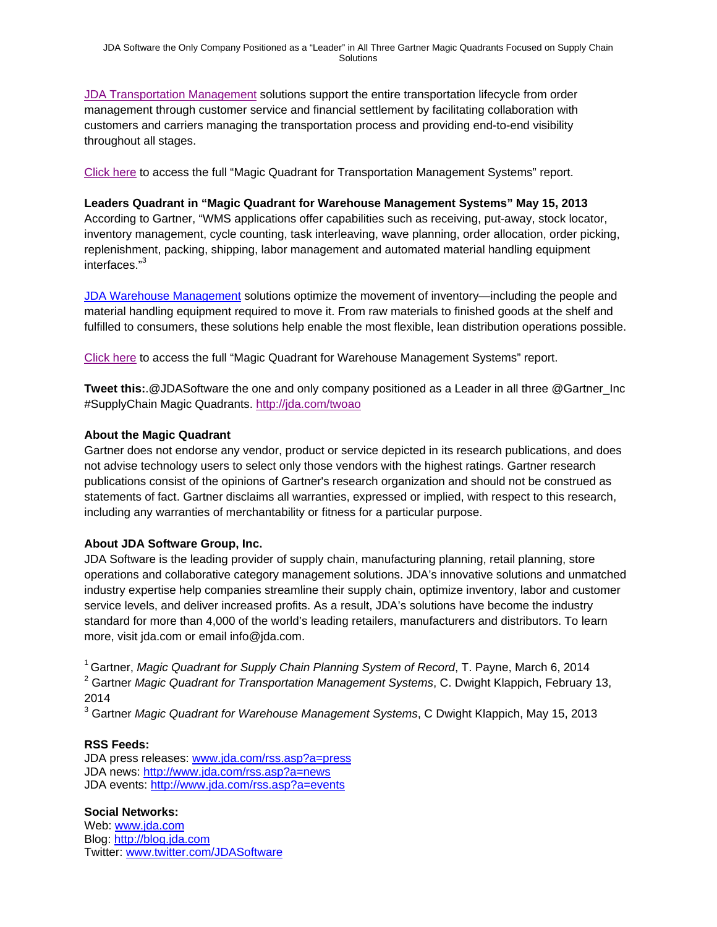[JDA Transportation Management](http://www.jda.com/solutions/transportation-logistics-management-overview/) solutions support the entire transportation lifecycle from order management through customer service and financial settlement by facilitating collaboration with customers and carriers managing the transportation process and providing end-to-end visibility throughout all stages.

[Click here](http://jda.com/mq3) to access the full "Magic Quadrant for Transportation Management Systems" report.

## **Leaders Quadrant in "Magic Quadrant for Warehouse Management Systems" May 15, 2013**

According to Gartner, "WMS applications offer capabilities such as receiving, put-away, stock locator, inventory management, cycle counting, task interleaving, wave planning, order allocation, order picking, replenishment, packing, shipping, labor management and automated material handling equipment interfaces."<sup>3</sup>

[JDA Warehouse Management](http://www.jda.com/solutions/warehouse-management/) solutions optimize the movement of inventory—including the people and material handling equipment required to move it. From raw materials to finished goods at the shelf and fulfilled to consumers, these solutions help enable the most flexible, lean distribution operations possible.

[Click here](http://jda.com/mq3) to access the full "Magic Quadrant for Warehouse Management Systems" report.

**Tweet this:**.@JDASoftware the one and only company positioned as a Leader in all three @Gartner\_Inc #SupplyChain Magic Quadrants. http://jda.com/twoao

### **About the Magic Quadrant**

Gartner does not endorse any vendor, product or service depicted in its research publications, and does not advise technology users to select only those vendors with the highest ratings. Gartner research publications consist of the opinions of Gartner's research organization and should not be construed as statements of fact. Gartner disclaims all warranties, expressed or implied, with respect to this research, including any warranties of merchantability or fitness for a particular purpose.

### **About JDA Software Group, Inc.**

JDA Software is the leading provider of supply chain, manufacturing planning, retail planning, store operations and collaborative category management solutions. JDA's innovative solutions and unmatched industry expertise help companies streamline their supply chain, optimize inventory, labor and customer service levels, and deliver increased profits. As a result, JDA's solutions have become the industry standard for more than 4,000 of the world's leading retailers, manufacturers and distributors. To learn more, visit jda.com or email info@jda.com.

1 Gartner, *Magic Quadrant for Supply Chain Planning System of Record*, T. Payne, March 6, 2014 2 Gartner *Magic Quadrant for Transportation Management Systems*, C. Dwight Klappich, February 13,

2014

3 Gartner *Magic Quadrant for Warehouse Management Systems*, C Dwight Klappich, May 15, 2013

### **RSS Feeds:**

JDA press releases: www.jda.com/rss.asp?a=press JDA news: http://www.jda.com/rss.asp?a=news JDA events: http://www.jda.com/rss.asp?a=events

**Social Networks:** Web: www.jda.com Blog: http://blog.jda.com Twitter: www.twitter.com/JDASoftware